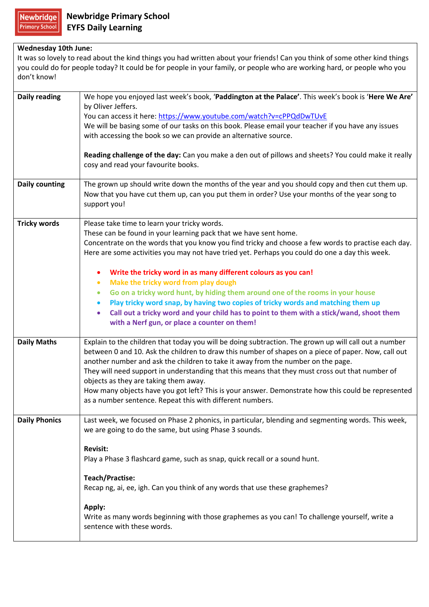## **Wednesday 10th June:**

It was so lovely to read about the kind things you had written about your friends! Can you think of some other kind things you could do for people today? It could be for people in your family, or people who are working hard, or people who you don't know!

| <b>Daily reading</b>  | We hope you enjoyed last week's book, 'Paddington at the Palace'. This week's book is 'Here We Are'                         |
|-----------------------|-----------------------------------------------------------------------------------------------------------------------------|
|                       | by Oliver Jeffers.                                                                                                          |
|                       | You can access it here: https://www.youtube.com/watch?v=cPPQdDwTUvE                                                         |
|                       | We will be basing some of our tasks on this book. Please email your teacher if you have any issues                          |
|                       | with accessing the book so we can provide an alternative source.                                                            |
|                       | Reading challenge of the day: Can you make a den out of pillows and sheets? You could make it really                        |
|                       | cosy and read your favourite books.                                                                                         |
| <b>Daily counting</b> | The grown up should write down the months of the year and you should copy and then cut them up.                             |
|                       | Now that you have cut them up, can you put them in order? Use your months of the year song to                               |
|                       | support you!                                                                                                                |
| <b>Tricky words</b>   | Please take time to learn your tricky words.                                                                                |
|                       | These can be found in your learning pack that we have sent home.                                                            |
|                       | Concentrate on the words that you know you find tricky and choose a few words to practise each day.                         |
|                       | Here are some activities you may not have tried yet. Perhaps you could do one a day this week.                              |
|                       | Write the tricky word in as many different colours as you can!                                                              |
|                       | Make the tricky word from play dough<br>$\bullet$                                                                           |
|                       | Go on a tricky word hunt, by hiding them around one of the rooms in your house<br>$\bullet$                                 |
|                       | Play tricky word snap, by having two copies of tricky words and matching them up                                            |
|                       | Call out a tricky word and your child has to point to them with a stick/wand, shoot them<br>$\bullet$                       |
|                       | with a Nerf gun, or place a counter on them!                                                                                |
| <b>Daily Maths</b>    | Explain to the children that today you will be doing subtraction. The grown up will call out a number                       |
|                       | between 0 and 10. Ask the children to draw this number of shapes on a piece of paper. Now, call out                         |
|                       | another number and ask the children to take it away from the number on the page.                                            |
|                       | They will need support in understanding that this means that they must cross out that number of                             |
|                       | objects as they are taking them away.                                                                                       |
|                       | How many objects have you got left? This is your answer. Demonstrate how this could be represented                          |
|                       | as a number sentence. Repeat this with different numbers.                                                                   |
| <b>Daily Phonics</b>  | Last week, we focused on Phase 2 phonics, in particular, blending and segmenting words. This week,                          |
|                       | we are going to do the same, but using Phase 3 sounds.                                                                      |
|                       |                                                                                                                             |
|                       | <b>Revisit:</b>                                                                                                             |
|                       | Play a Phase 3 flashcard game, such as snap, quick recall or a sound hunt.                                                  |
|                       | <b>Teach/Practise:</b>                                                                                                      |
|                       | Recap ng, ai, ee, igh. Can you think of any words that use these graphemes?                                                 |
|                       |                                                                                                                             |
|                       | Apply:                                                                                                                      |
|                       | Write as many words beginning with those graphemes as you can! To challenge yourself, write a<br>sentence with these words. |
|                       |                                                                                                                             |